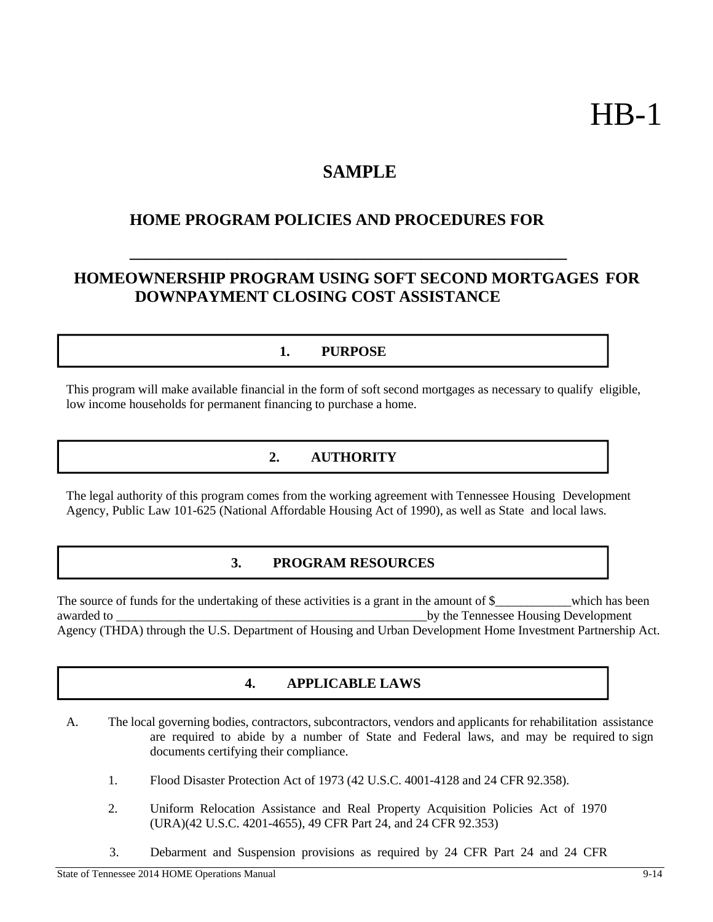# HB-1

## **SAMPLE**

## **HOME PROGRAM POLICIES AND PROCEDURES FOR**

## **HOMEOWNERSHIP PROGRAM USING SOFT SECOND MORTGAGES FOR DOWNPAYMENT CLOSING COST ASSISTANCE**

**\_\_\_\_\_\_\_\_\_\_\_\_\_\_\_\_\_\_\_\_\_\_\_\_\_\_\_\_\_\_\_\_\_\_\_\_\_\_\_\_\_\_\_\_\_\_\_\_\_\_\_\_\_\_**

#### **1. PURPOSE**

This program will make available financial in the form of soft second mortgages as necessary to qualify eligible, low income households for permanent financing to purchase a home.

## **2. AUTHORITY**

The legal authority of this program comes from the working agreement with Tennessee Housing Development Agency, Public Law 101-625 (National Affordable Housing Act of 1990), as well as State and local laws.

#### **3. PROGRAM RESOURCES**

The source of funds for the undertaking of these activities is a grant in the amount of  $\frac{1}{2}$  which has been awarded to by the Tennessee Housing Development Agency (THDA) through the U.S. Department of Housing and Urban Development Home Investment Partnership Act.

#### **4. APPLICABLE LAWS**

- A. The local governing bodies, contractors, subcontractors, vendors and applicants for rehabilitation assistance are required to abide by a number of State and Federal laws, and may be required to sign documents certifying their compliance.
	- 1. Flood Disaster Protection Act of 1973 (42 U.S.C. 4001-4128 and 24 CFR 92.358).
	- 2. Uniform Relocation Assistance and Real Property Acquisition Policies Act of 1970 (URA)(42 U.S.C. 4201-4655), 49 CFR Part 24, and 24 CFR 92.353)
	- 3. Debarment and Suspension provisions as required by 24 CFR Part 24 and 24 CFR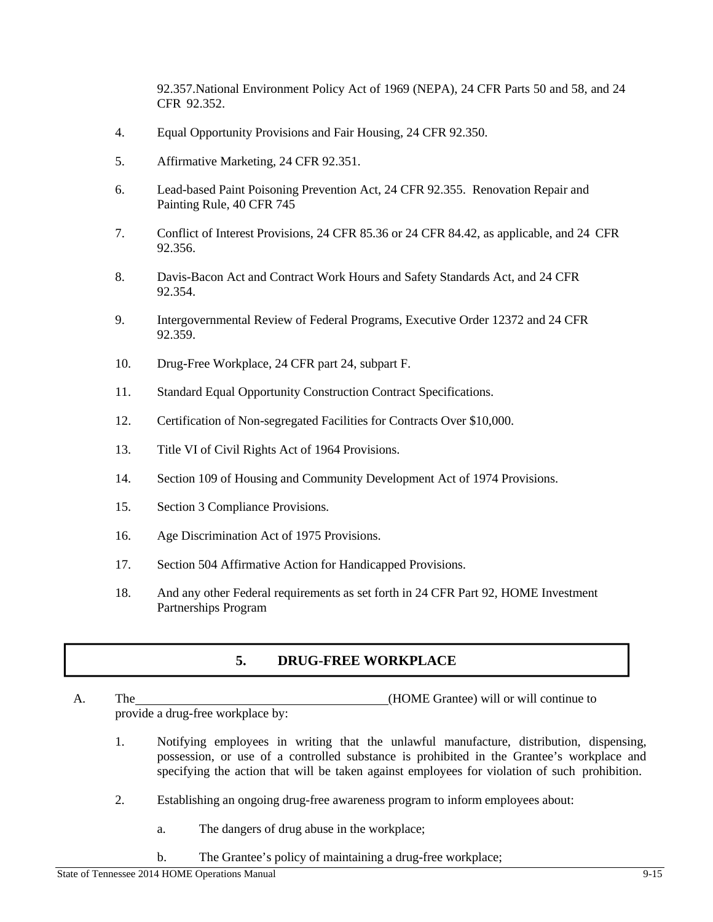92.357.National Environment Policy Act of 1969 (NEPA), 24 CFR Parts 50 and 58, and 24 CFR 92.352.

- 4. Equal Opportunity Provisions and Fair Housing, 24 CFR 92.350.
- 5. Affirmative Marketing, 24 CFR 92.351.
- 6. Lead-based Paint Poisoning Prevention Act, 24 CFR 92.355. Renovation Repair and Painting Rule, 40 CFR 745
- 7. Conflict of Interest Provisions, 24 CFR 85.36 or 24 CFR 84.42, as applicable, and 24 CFR 92.356.
- 8. Davis-Bacon Act and Contract Work Hours and Safety Standards Act, and 24 CFR 92.354.
- 9. Intergovernmental Review of Federal Programs, Executive Order 12372 and 24 CFR 92.359.
- 10. Drug-Free Workplace, 24 CFR part 24, subpart F.
- 11. Standard Equal Opportunity Construction Contract Specifications.
- 12. Certification of Non-segregated Facilities for Contracts Over \$10,000.
- 13. Title VI of Civil Rights Act of 1964 Provisions.
- 14. Section 109 of Housing and Community Development Act of 1974 Provisions.
- 15. Section 3 Compliance Provisions.
- 16. Age Discrimination Act of 1975 Provisions.
- 17. Section 504 Affirmative Action for Handicapped Provisions.
- 18. And any other Federal requirements as set forth in 24 CFR Part 92, HOME Investment Partnerships Program

#### **5. DRUG-FREE WORKPLACE**

- A. The (HOME Grantee) will or will continue to provide a drug-free workplace by:
	- 1. Notifying employees in writing that the unlawful manufacture, distribution, dispensing, possession, or use of a controlled substance is prohibited in the Grantee's workplace and specifying the action that will be taken against employees for violation of such prohibition.
	- 2. Establishing an ongoing drug-free awareness program to inform employees about:
		- a. The dangers of drug abuse in the workplace;
		- b. The Grantee's policy of maintaining a drug-free workplace;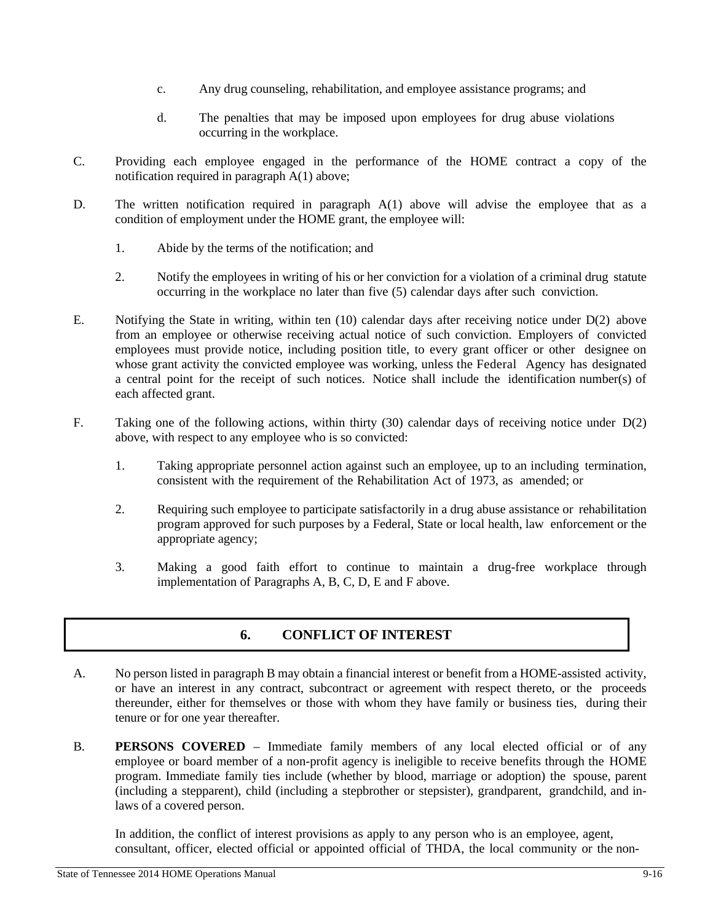- c. Any drug counseling, rehabilitation, and employee assistance programs; and
- d. The penalties that may be imposed upon employees for drug abuse violations occurring in the workplace.
- C. Providing each employee engaged in the performance of the HOME contract a copy of the notification required in paragraph A(1) above;
- D. The written notification required in paragraph A(1) above will advise the employee that as a condition of employment under the HOME grant, the employee will:
	- 1. Abide by the terms of the notification; and
	- 2. Notify the employees in writing of his or her conviction for a violation of a criminal drug statute occurring in the workplace no later than five (5) calendar days after such conviction.
- E. Notifying the State in writing, within ten (10) calendar days after receiving notice under D(2) above from an employee or otherwise receiving actual notice of such conviction. Employers of convicted employees must provide notice, including position title, to every grant officer or other designee on whose grant activity the convicted employee was working, unless the Federal Agency has designated a central point for the receipt of such notices. Notice shall include the identification number(s) of each affected grant.
- F. Taking one of the following actions, within thirty (30) calendar days of receiving notice under D(2) above, with respect to any employee who is so convicted:
	- 1. Taking appropriate personnel action against such an employee, up to an including termination, consistent with the requirement of the Rehabilitation Act of 1973, as amended; or
	- 2. Requiring such employee to participate satisfactorily in a drug abuse assistance or rehabilitation program approved for such purposes by a Federal, State or local health, law enforcement or the appropriate agency;
	- 3. Making a good faith effort to continue to maintain a drug-free workplace through implementation of Paragraphs A, B, C, D, E and F above.

#### **6. CONFLICT OF INTEREST**

- A. No person listed in paragraph B may obtain a financial interest or benefit from a HOME-assisted activity, or have an interest in any contract, subcontract or agreement with respect thereto, or the proceeds thereunder, either for themselves or those with whom they have family or business ties, during their tenure or for one year thereafter.
- B. **PERSONS COVERED**  Immediate family members of any local elected official or of any employee or board member of a non-profit agency is ineligible to receive benefits through the HOME program. Immediate family ties include (whether by blood, marriage or adoption) the spouse, parent (including a stepparent), child (including a stepbrother or stepsister), grandparent, grandchild, and inlaws of a covered person.

In addition, the conflict of interest provisions as apply to any person who is an employee, agent, consultant, officer, elected official or appointed official of THDA, the local community or the non-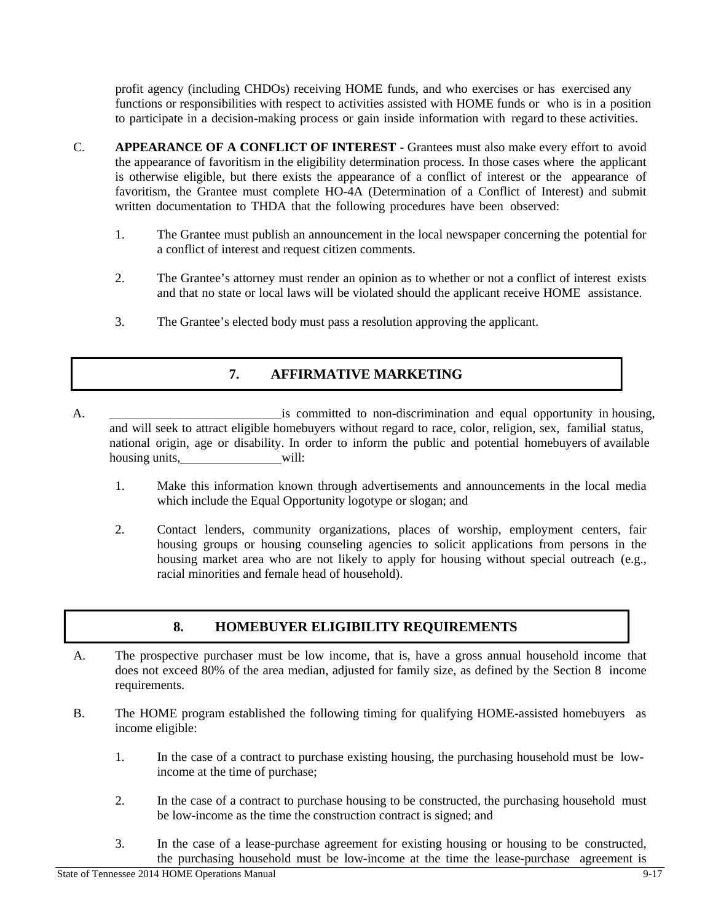profit agency (including CHDOs) receiving HOME funds, and who exercises or has exercised any functions or responsibilities with respect to activities assisted with HOME funds or who is in a position to participate in a decision-making process or gain inside information with regard to these activities.

- C. **APPEARANCE OF A CONFLICT OF INTEREST**  Grantees must also make every effort to avoid the appearance of favoritism in the eligibility determination process. In those cases where the applicant is otherwise eligible, but there exists the appearance of a conflict of interest or the appearance of favoritism, the Grantee must complete HO-4A (Determination of a Conflict of Interest) and submit written documentation to THDA that the following procedures have been observed:
	- 1. The Grantee must publish an announcement in the local newspaper concerning the potential for a conflict of interest and request citizen comments.
	- 2. The Grantee's attorney must render an opinion as to whether or not a conflict of interest exists and that no state or local laws will be violated should the applicant receive HOME assistance.
	- 3. The Grantee's elected body must pass a resolution approving the applicant.

### **7. AFFIRMATIVE MARKETING**

- A. is committed to non-discrimination and equal opportunity in housing, and will seek to attract eligible homebuyers without regard to race, color, religion, sex, familial status, national origin, age or disability. In order to inform the public and potential homebuyers of available housing units, will:
	- 1. Make this information known through advertisements and announcements in the local media which include the Equal Opportunity logotype or slogan; and
	- 2. Contact lenders, community organizations, places of worship, employment centers, fair housing groups or housing counseling agencies to solicit applications from persons in the housing market area who are not likely to apply for housing without special outreach (e.g., racial minorities and female head of household).

#### **8. HOMEBUYER ELIGIBILITY REQUIREMENTS**

- A. The prospective purchaser must be low income, that is, have a gross annual household income that does not exceed 80% of the area median, adjusted for family size, as defined by the Section 8 income requirements.
- B. The HOME program established the following timing for qualifying HOME-assisted homebuyers as income eligible:
	- 1. In the case of a contract to purchase existing housing, the purchasing household must be lowincome at the time of purchase;
	- 2. In the case of a contract to purchase housing to be constructed, the purchasing household must be low-income as the time the construction contract is signed; and
	- 3. In the case of a lease-purchase agreement for existing housing or housing to be constructed, the purchasing household must be low-income at the time the lease-purchase agreement is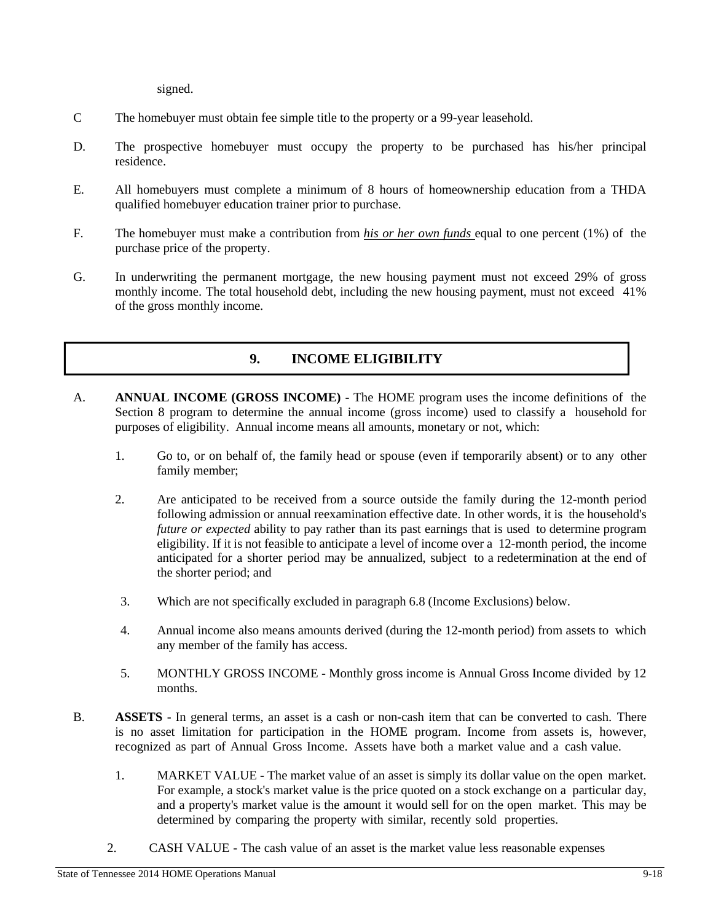signed.

- C The homebuyer must obtain fee simple title to the property or a 99-year leasehold.
- D. The prospective homebuyer must occupy the property to be purchased has his/her principal residence.
- E. All homebuyers must complete a minimum of 8 hours of homeownership education from a THDA qualified homebuyer education trainer prior to purchase.
- F. The homebuyer must make a contribution from *his or her own funds* equal to one percent (1%) of the purchase price of the property.
- G. In underwriting the permanent mortgage, the new housing payment must not exceed 29% of gross monthly income. The total household debt, including the new housing payment, must not exceed 41% of the gross monthly income.

#### **9. INCOME ELIGIBILITY**

- A. **ANNUAL INCOME (GROSS INCOME)**  The HOME program uses the income definitions of the Section 8 program to determine the annual income (gross income) used to classify a household for purposes of eligibility. Annual income means all amounts, monetary or not, which:
	- 1. Go to, or on behalf of, the family head or spouse (even if temporarily absent) or to any other family member;
	- 2. Are anticipated to be received from a source outside the family during the 12-month period following admission or annual reexamination effective date. In other words, it is the household's *future or expected* ability to pay rather than its past earnings that is used to determine program eligibility. If it is not feasible to anticipate a level of income over a 12-month period, the income anticipated for a shorter period may be annualized, subject to a redetermination at the end of the shorter period; and
	- 3. Which are not specifically excluded in paragraph 6.8 (Income Exclusions) below.
	- 4. Annual income also means amounts derived (during the 12-month period) from assets to which any member of the family has access.
	- 5. MONTHLY GROSS INCOME Monthly gross income is Annual Gross Income divided by 12 months.
- B. **ASSETS**  In general terms, an asset is a cash or non-cash item that can be converted to cash. There is no asset limitation for participation in the HOME program. Income from assets is, however, recognized as part of Annual Gross Income. Assets have both a market value and a cash value.
	- 1. MARKET VALUE The market value of an asset is simply its dollar value on the open market. For example, a stock's market value is the price quoted on a stock exchange on a particular day, and a property's market value is the amount it would sell for on the open market. This may be determined by comparing the property with similar, recently sold properties.
	- 2. CASH VALUE The cash value of an asset is the market value less reasonable expenses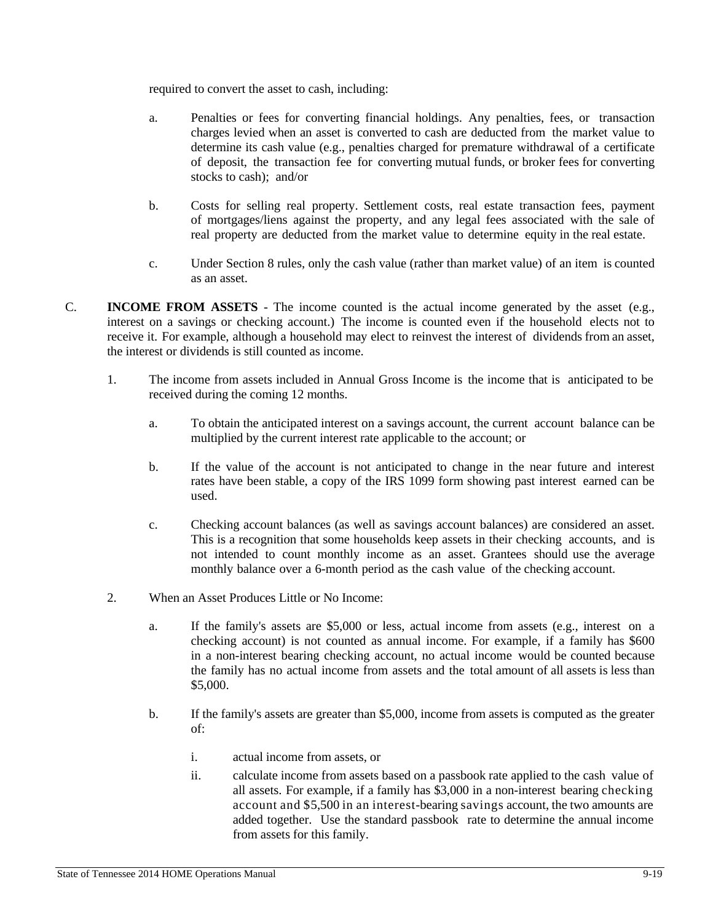required to convert the asset to cash, including:

- a. Penalties or fees for converting financial holdings. Any penalties, fees, or transaction charges levied when an asset is converted to cash are deducted from the market value to determine its cash value (e.g., penalties charged for premature withdrawal of a certificate of deposit, the transaction fee for converting mutual funds, or broker fees for converting stocks to cash); and/or
- b. Costs for selling real property. Settlement costs, real estate transaction fees, payment of mortgages/liens against the property, and any legal fees associated with the sale of real property are deducted from the market value to determine equity in the real estate.
- c. Under Section 8 rules, only the cash value (rather than market value) of an item is counted as an asset.
- C. **INCOME FROM ASSETS**  The income counted is the actual income generated by the asset (e.g., interest on a savings or checking account.) The income is counted even if the household elects not to receive it. For example, although a household may elect to reinvest the interest of dividends from an asset, the interest or dividends is still counted as income.
	- 1. The income from assets included in Annual Gross Income is the income that is anticipated to be received during the coming 12 months.
		- a. To obtain the anticipated interest on a savings account, the current account balance can be multiplied by the current interest rate applicable to the account; or
		- b. If the value of the account is not anticipated to change in the near future and interest rates have been stable, a copy of the IRS 1099 form showing past interest earned can be used.
		- c. Checking account balances (as well as savings account balances) are considered an asset. This is a recognition that some households keep assets in their checking accounts, and is not intended to count monthly income as an asset. Grantees should use the average monthly balance over a 6-month period as the cash value of the checking account.
	- 2. When an Asset Produces Little or No Income:
		- a. If the family's assets are \$5,000 or less, actual income from assets (e.g., interest on a checking account) is not counted as annual income. For example, if a family has \$600 in a non-interest bearing checking account, no actual income would be counted because the family has no actual income from assets and the total amount of all assets is less than \$5,000.
		- b. If the family's assets are greater than \$5,000, income from assets is computed as the greater of:
			- i. actual income from assets, or
			- ii. calculate income from assets based on a passbook rate applied to the cash value of all assets. For example, if a family has \$3,000 in a non-interest bearing checking account and \$5,500 in an interest-bearing savings account, the two amounts are added together. Use the standard passbook rate to determine the annual income from assets for this family.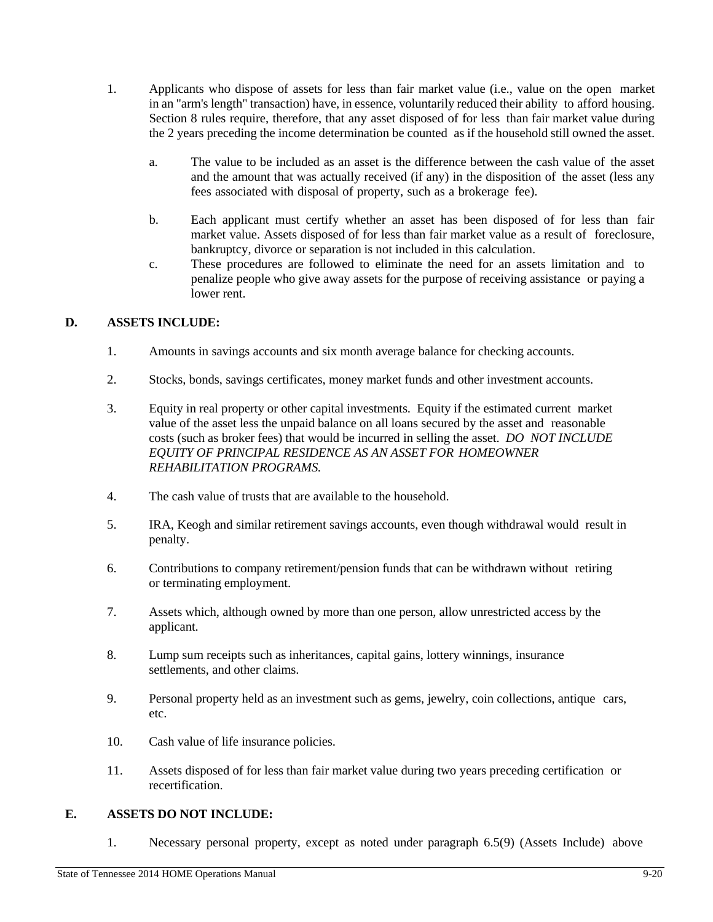- 1. Applicants who dispose of assets for less than fair market value (i.e., value on the open market in an "arm's length" transaction) have, in essence, voluntarily reduced their ability to afford housing. Section 8 rules require, therefore, that any asset disposed of for less than fair market value during the 2 years preceding the income determination be counted as if the household still owned the asset.
	- a. The value to be included as an asset is the difference between the cash value of the asset and the amount that was actually received (if any) in the disposition of the asset (less any fees associated with disposal of property, such as a brokerage fee).
	- b. Each applicant must certify whether an asset has been disposed of for less than fair market value. Assets disposed of for less than fair market value as a result of foreclosure, bankruptcy, divorce or separation is not included in this calculation.
	- c. These procedures are followed to eliminate the need for an assets limitation and to penalize people who give away assets for the purpose of receiving assistance or paying a lower rent.

#### **D. ASSETS INCLUDE:**

- 1. Amounts in savings accounts and six month average balance for checking accounts.
- 2. Stocks, bonds, savings certificates, money market funds and other investment accounts.
- 3. Equity in real property or other capital investments. Equity if the estimated current market value of the asset less the unpaid balance on all loans secured by the asset and reasonable costs (such as broker fees) that would be incurred in selling the asset. *DO NOT INCLUDE EQUITY OF PRINCIPAL RESIDENCE AS AN ASSET FOR HOMEOWNER REHABILITATION PROGRAMS.*
- 4. The cash value of trusts that are available to the household.
- 5. IRA, Keogh and similar retirement savings accounts, even though withdrawal would result in penalty.
- 6. Contributions to company retirement/pension funds that can be withdrawn without retiring or terminating employment.
- 7. Assets which, although owned by more than one person, allow unrestricted access by the applicant.
- 8. Lump sum receipts such as inheritances, capital gains, lottery winnings, insurance settlements, and other claims.
- 9. Personal property held as an investment such as gems, jewelry, coin collections, antique cars, etc.
- 10. Cash value of life insurance policies.
- 11. Assets disposed of for less than fair market value during two years preceding certification or recertification.

#### **E. ASSETS DO NOT INCLUDE:**

1. Necessary personal property, except as noted under paragraph 6.5(9) (Assets Include) above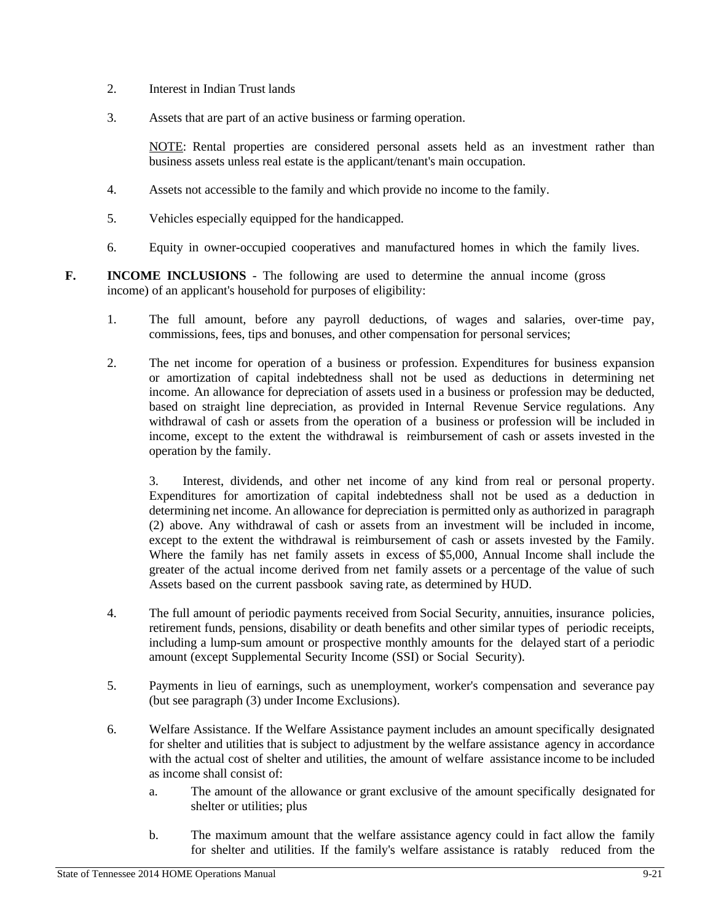- 2. Interest in Indian Trust lands
- 3. Assets that are part of an active business or farming operation.

NOTE: Rental properties are considered personal assets held as an investment rather than business assets unless real estate is the applicant/tenant's main occupation.

- 4. Assets not accessible to the family and which provide no income to the family.
- 5. Vehicles especially equipped for the handicapped.
- 6. Equity in owner-occupied cooperatives and manufactured homes in which the family lives.
- **F. INCOME INCLUSIONS** The following are used to determine the annual income (gross income) of an applicant's household for purposes of eligibility:
	- 1. The full amount, before any payroll deductions, of wages and salaries, over-time pay, commissions, fees, tips and bonuses, and other compensation for personal services;
	- 2. The net income for operation of a business or profession. Expenditures for business expansion or amortization of capital indebtedness shall not be used as deductions in determining net income. An allowance for depreciation of assets used in a business or profession may be deducted, based on straight line depreciation, as provided in Internal Revenue Service regulations. Any withdrawal of cash or assets from the operation of a business or profession will be included in income, except to the extent the withdrawal is reimbursement of cash or assets invested in the operation by the family.

3. Interest, dividends, and other net income of any kind from real or personal property. Expenditures for amortization of capital indebtedness shall not be used as a deduction in determining net income. An allowance for depreciation is permitted only as authorized in paragraph (2) above. Any withdrawal of cash or assets from an investment will be included in income, except to the extent the withdrawal is reimbursement of cash or assets invested by the Family. Where the family has net family assets in excess of \$5,000, Annual Income shall include the greater of the actual income derived from net family assets or a percentage of the value of such Assets based on the current passbook saving rate, as determined by HUD.

- 4. The full amount of periodic payments received from Social Security, annuities, insurance policies, retirement funds, pensions, disability or death benefits and other similar types of periodic receipts, including a lump-sum amount or prospective monthly amounts for the delayed start of a periodic amount (except Supplemental Security Income (SSI) or Social Security).
- 5. Payments in lieu of earnings, such as unemployment, worker's compensation and severance pay (but see paragraph (3) under Income Exclusions).
- 6. Welfare Assistance. If the Welfare Assistance payment includes an amount specifically designated for shelter and utilities that is subject to adjustment by the welfare assistance agency in accordance with the actual cost of shelter and utilities, the amount of welfare assistance income to be included as income shall consist of:
	- a. The amount of the allowance or grant exclusive of the amount specifically designated for shelter or utilities; plus
	- b. The maximum amount that the welfare assistance agency could in fact allow the family for shelter and utilities. If the family's welfare assistance is ratably reduced from the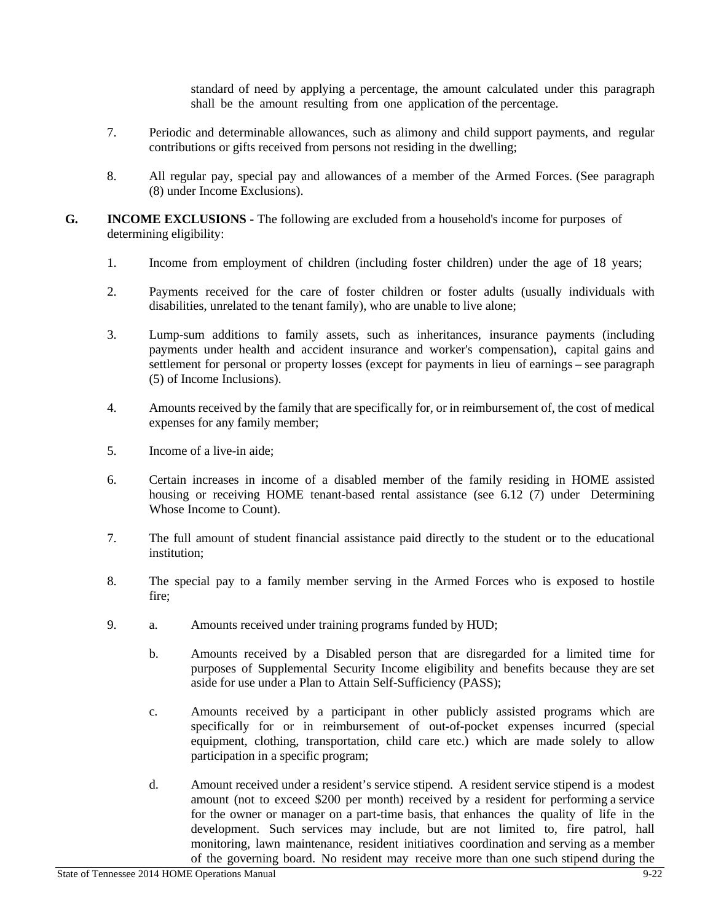standard of need by applying a percentage, the amount calculated under this paragraph shall be the amount resulting from one application of the percentage.

- 7. Periodic and determinable allowances, such as alimony and child support payments, and regular contributions or gifts received from persons not residing in the dwelling;
- 8. All regular pay, special pay and allowances of a member of the Armed Forces. (See paragraph (8) under Income Exclusions).
- **G. INCOME EXCLUSIONS**  The following are excluded from a household's income for purposes of determining eligibility:
	- 1. Income from employment of children (including foster children) under the age of 18 years;
	- 2. Payments received for the care of foster children or foster adults (usually individuals with disabilities, unrelated to the tenant family), who are unable to live alone;
	- 3. Lump-sum additions to family assets, such as inheritances, insurance payments (including payments under health and accident insurance and worker's compensation), capital gains and settlement for personal or property losses (except for payments in lieu of earnings – see paragraph (5) of Income Inclusions).
	- 4. Amounts received by the family that are specifically for, or in reimbursement of, the cost of medical expenses for any family member;
	- 5. Income of a live-in aide;
	- 6. Certain increases in income of a disabled member of the family residing in HOME assisted housing or receiving HOME tenant-based rental assistance (see 6.12 (7) under Determining Whose Income to Count).
	- 7. The full amount of student financial assistance paid directly to the student or to the educational institution;
	- 8. The special pay to a family member serving in the Armed Forces who is exposed to hostile fire;
	- 9. a. Amounts received under training programs funded by HUD;
		- b. Amounts received by a Disabled person that are disregarded for a limited time for purposes of Supplemental Security Income eligibility and benefits because they are set aside for use under a Plan to Attain Self-Sufficiency (PASS);
		- c. Amounts received by a participant in other publicly assisted programs which are specifically for or in reimbursement of out-of-pocket expenses incurred (special equipment, clothing, transportation, child care etc.) which are made solely to allow participation in a specific program;
		- d. Amount received under a resident's service stipend. A resident service stipend is a modest amount (not to exceed \$200 per month) received by a resident for performing a service for the owner or manager on a part-time basis, that enhances the quality of life in the development. Such services may include, but are not limited to, fire patrol, hall monitoring, lawn maintenance, resident initiatives coordination and serving as a member of the governing board. No resident may receive more than one such stipend during the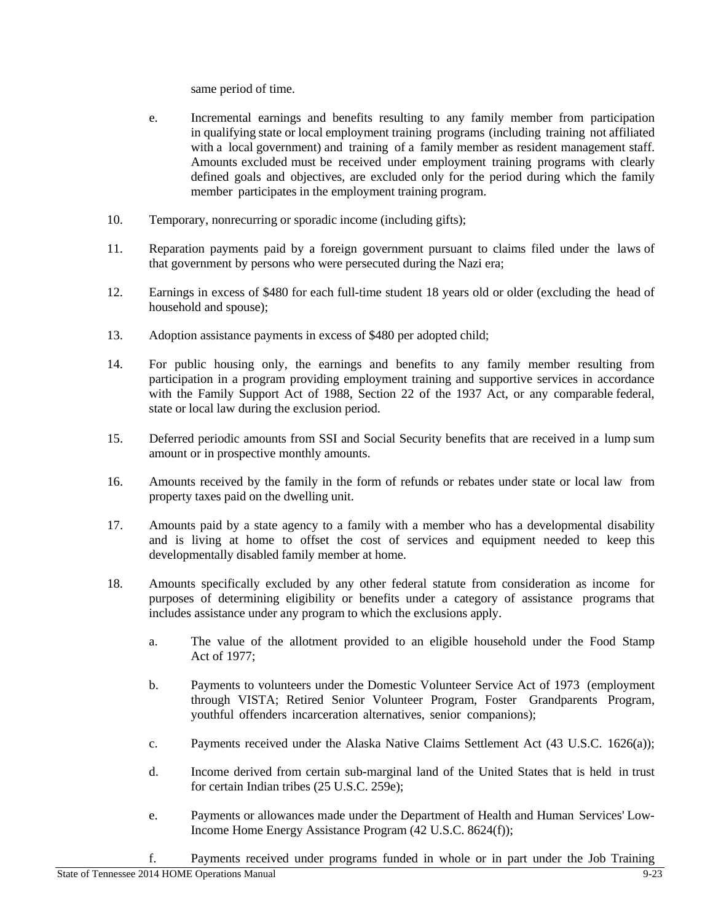same period of time.

- e. Incremental earnings and benefits resulting to any family member from participation in qualifying state or local employment training programs (including training not affiliated with a local government) and training of a family member as resident management staff. Amounts excluded must be received under employment training programs with clearly defined goals and objectives, are excluded only for the period during which the family member participates in the employment training program.
- 10. Temporary, nonrecurring or sporadic income (including gifts);
- 11. Reparation payments paid by a foreign government pursuant to claims filed under the laws of that government by persons who were persecuted during the Nazi era;
- 12. Earnings in excess of \$480 for each full-time student 18 years old or older (excluding the head of household and spouse);
- 13. Adoption assistance payments in excess of \$480 per adopted child;
- 14. For public housing only, the earnings and benefits to any family member resulting from participation in a program providing employment training and supportive services in accordance with the Family Support Act of 1988, Section 22 of the 1937 Act, or any comparable federal, state or local law during the exclusion period.
- 15. Deferred periodic amounts from SSI and Social Security benefits that are received in a lump sum amount or in prospective monthly amounts.
- 16. Amounts received by the family in the form of refunds or rebates under state or local law from property taxes paid on the dwelling unit.
- 17. Amounts paid by a state agency to a family with a member who has a developmental disability and is living at home to offset the cost of services and equipment needed to keep this developmentally disabled family member at home.
- 18. Amounts specifically excluded by any other federal statute from consideration as income for purposes of determining eligibility or benefits under a category of assistance programs that includes assistance under any program to which the exclusions apply.
	- a. The value of the allotment provided to an eligible household under the Food Stamp Act of 1977;
	- b. Payments to volunteers under the Domestic Volunteer Service Act of 1973 (employment through VISTA; Retired Senior Volunteer Program, Foster Grandparents Program, youthful offenders incarceration alternatives, senior companions);
	- c. Payments received under the Alaska Native Claims Settlement Act (43 U.S.C. 1626(a));
	- d. Income derived from certain sub-marginal land of the United States that is held in trust for certain Indian tribes (25 U.S.C. 259e);
	- e. Payments or allowances made under the Department of Health and Human Services' Low-Income Home Energy Assistance Program (42 U.S.C. 8624(f));
	- f. Payments received under programs funded in whole or in part under the Job Training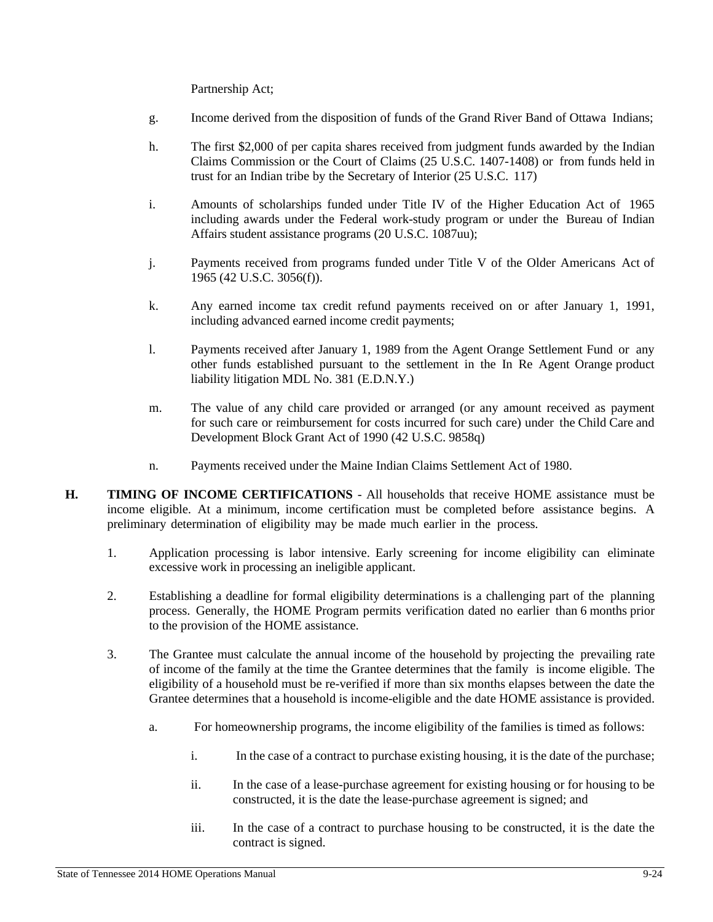Partnership Act;

- g. Income derived from the disposition of funds of the Grand River Band of Ottawa Indians;
- h. The first \$2,000 of per capita shares received from judgment funds awarded by the Indian Claims Commission or the Court of Claims (25 U.S.C. 1407-1408) or from funds held in trust for an Indian tribe by the Secretary of Interior (25 U.S.C. 117)
- i. Amounts of scholarships funded under Title IV of the Higher Education Act of 1965 including awards under the Federal work-study program or under the Bureau of Indian Affairs student assistance programs (20 U.S.C. 1087uu);
- j. Payments received from programs funded under Title V of the Older Americans Act of 1965 (42 U.S.C. 3056(f)).
- k. Any earned income tax credit refund payments received on or after January 1, 1991, including advanced earned income credit payments;
- l. Payments received after January 1, 1989 from the Agent Orange Settlement Fund or any other funds established pursuant to the settlement in the In Re Agent Orange product liability litigation MDL No. 381 (E.D.N.Y.)
- m. The value of any child care provided or arranged (or any amount received as payment for such care or reimbursement for costs incurred for such care) under the Child Care and Development Block Grant Act of 1990 (42 U.S.C. 9858q)
- n. Payments received under the Maine Indian Claims Settlement Act of 1980.
- **H. TIMING OF INCOME CERTIFICATIONS**  All households that receive HOME assistance must be income eligible. At a minimum, income certification must be completed before assistance begins. A preliminary determination of eligibility may be made much earlier in the process.
	- 1. Application processing is labor intensive. Early screening for income eligibility can eliminate excessive work in processing an ineligible applicant.
	- 2. Establishing a deadline for formal eligibility determinations is a challenging part of the planning process. Generally, the HOME Program permits verification dated no earlier than 6 months prior to the provision of the HOME assistance.
	- 3. The Grantee must calculate the annual income of the household by projecting the prevailing rate of income of the family at the time the Grantee determines that the family is income eligible. The eligibility of a household must be re-verified if more than six months elapses between the date the Grantee determines that a household is income-eligible and the date HOME assistance is provided.
		- a. For homeownership programs, the income eligibility of the families is timed as follows:
			- i. In the case of a contract to purchase existing housing, it is the date of the purchase;
			- ii. In the case of a lease-purchase agreement for existing housing or for housing to be constructed, it is the date the lease-purchase agreement is signed; and
			- iii. In the case of a contract to purchase housing to be constructed, it is the date the contract is signed.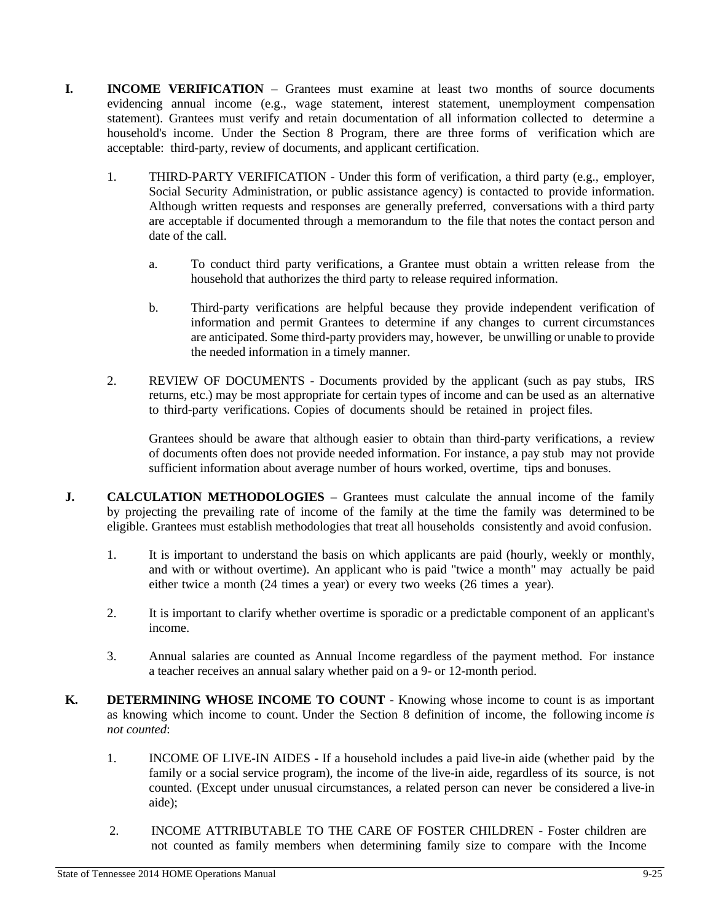- **I. INCOME VERIFICATION** Grantees must examine at least two months of source documents evidencing annual income (e.g., wage statement, interest statement, unemployment compensation statement). Grantees must verify and retain documentation of all information collected to determine a household's income. Under the Section 8 Program, there are three forms of verification which are acceptable: third-party, review of documents, and applicant certification.
	- 1. THIRD-PARTY VERIFICATION Under this form of verification, a third party (e.g., employer, Social Security Administration, or public assistance agency) is contacted to provide information. Although written requests and responses are generally preferred, conversations with a third party are acceptable if documented through a memorandum to the file that notes the contact person and date of the call.
		- a. To conduct third party verifications, a Grantee must obtain a written release from the household that authorizes the third party to release required information.
		- b. Third-party verifications are helpful because they provide independent verification of information and permit Grantees to determine if any changes to current circumstances are anticipated. Some third-party providers may, however, be unwilling or unable to provide the needed information in a timely manner.
	- 2. REVIEW OF DOCUMENTS Documents provided by the applicant (such as pay stubs, IRS returns, etc.) may be most appropriate for certain types of income and can be used as an alternative to third-party verifications. Copies of documents should be retained in project files.

Grantees should be aware that although easier to obtain than third-party verifications, a review of documents often does not provide needed information. For instance, a pay stub may not provide sufficient information about average number of hours worked, overtime, tips and bonuses.

- **J. CALCULATION METHODOLOGIES**  Grantees must calculate the annual income of the family by projecting the prevailing rate of income of the family at the time the family was determined to be eligible. Grantees must establish methodologies that treat all households consistently and avoid confusion.
	- 1. It is important to understand the basis on which applicants are paid (hourly, weekly or monthly, and with or without overtime). An applicant who is paid "twice a month" may actually be paid either twice a month (24 times a year) or every two weeks (26 times a year).
	- 2. It is important to clarify whether overtime is sporadic or a predictable component of an applicant's income.
	- 3. Annual salaries are counted as Annual Income regardless of the payment method. For instance a teacher receives an annual salary whether paid on a 9- or 12-month period.
- **K. DETERMINING WHOSE INCOME TO COUNT**  Knowing whose income to count is as important as knowing which income to count. Under the Section 8 definition of income, the following income *is not counted*:
	- 1. INCOME OF LIVE-IN AIDES If a household includes a paid live-in aide (whether paid by the family or a social service program), the income of the live-in aide, regardless of its source, is not counted. (Except under unusual circumstances, a related person can never be considered a live-in aide);
	- 2. INCOME ATTRIBUTABLE TO THE CARE OF FOSTER CHILDREN Foster children are not counted as family members when determining family size to compare with the Income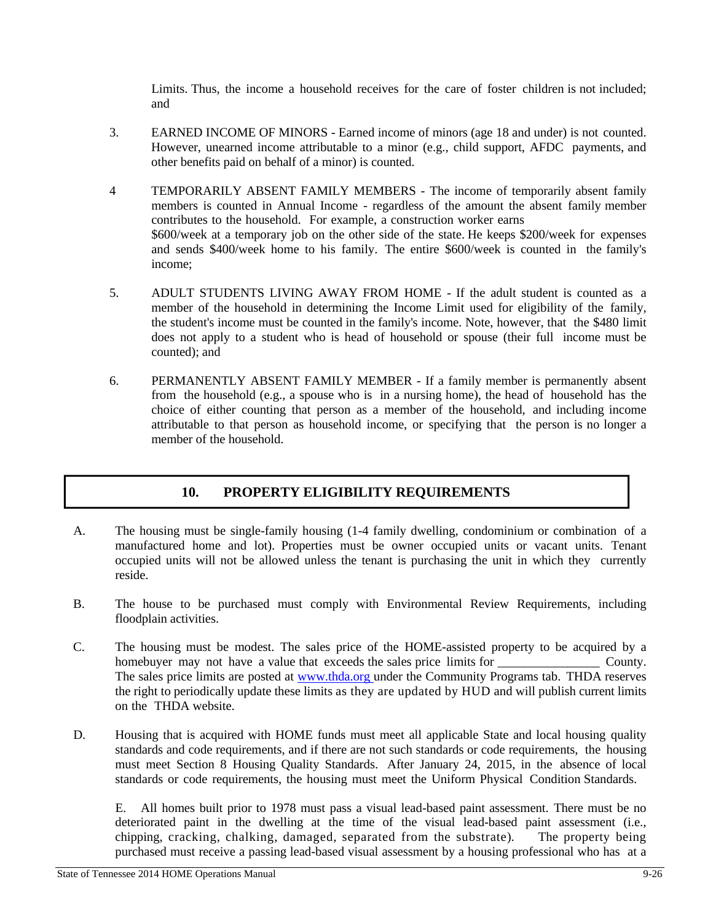Limits. Thus, the income a household receives for the care of foster children is not included; and

- 3. EARNED INCOME OF MINORS Earned income of minors (age 18 and under) is not counted. However, unearned income attributable to a minor (e.g., child support, AFDC payments, and other benefits paid on behalf of a minor) is counted.
- 4 TEMPORARILY ABSENT FAMILY MEMBERS The income of temporarily absent family members is counted in Annual Income - regardless of the amount the absent family member contributes to the household. For example, a construction worker earns \$600/week at a temporary job on the other side of the state. He keeps \$200/week for expenses and sends \$400/week home to his family. The entire \$600/week is counted in the family's income;
- 5. ADULT STUDENTS LIVING AWAY FROM HOME If the adult student is counted as a member of the household in determining the Income Limit used for eligibility of the family, the student's income must be counted in the family's income. Note, however, that the \$480 limit does not apply to a student who is head of household or spouse (their full income must be counted); and
- 6. PERMANENTLY ABSENT FAMILY MEMBER If a family member is permanently absent from the household (e.g., a spouse who is in a nursing home), the head of household has the choice of either counting that person as a member of the household, and including income attributable to that person as household income, or specifying that the person is no longer a member of the household.

#### **10. PROPERTY ELIGIBILITY REQUIREMENTS**

- A. The housing must be single-family housing (1-4 family dwelling, condominium or combination of a manufactured home and lot). Properties must be owner occupied units or vacant units. Tenant occupied units will not be allowed unless the tenant is purchasing the unit in which they currently reside.
- B. The house to be purchased must comply with Environmental Review Requirements, including floodplain activities.
- C. The housing must be modest. The sales price of the HOME-assisted property to be acquired by a homebuyer may not have a value that exceeds the sales price limits for  $\sim$  County. The sales price limits are posted at www.thda.org under the Community Programs tab. THDA reserves the right to periodically update these limits as they are updated by HUD and will publish current limits on the THDA website.
- D. Housing that is acquired with HOME funds must meet all applicable State and local housing quality standards and code requirements, and if there are not such standards or code requirements, the housing must meet Section 8 Housing Quality Standards. After January 24, 2015, in the absence of local standards or code requirements, the housing must meet the Uniform Physical Condition Standards.

E. All homes built prior to 1978 must pass a visual lead-based paint assessment. There must be no deteriorated paint in the dwelling at the time of the visual lead-based paint assessment (i.e., chipping, cracking, chalking, damaged, separated from the substrate). The property being purchased must receive a passing lead-based visual assessment by a housing professional who has at a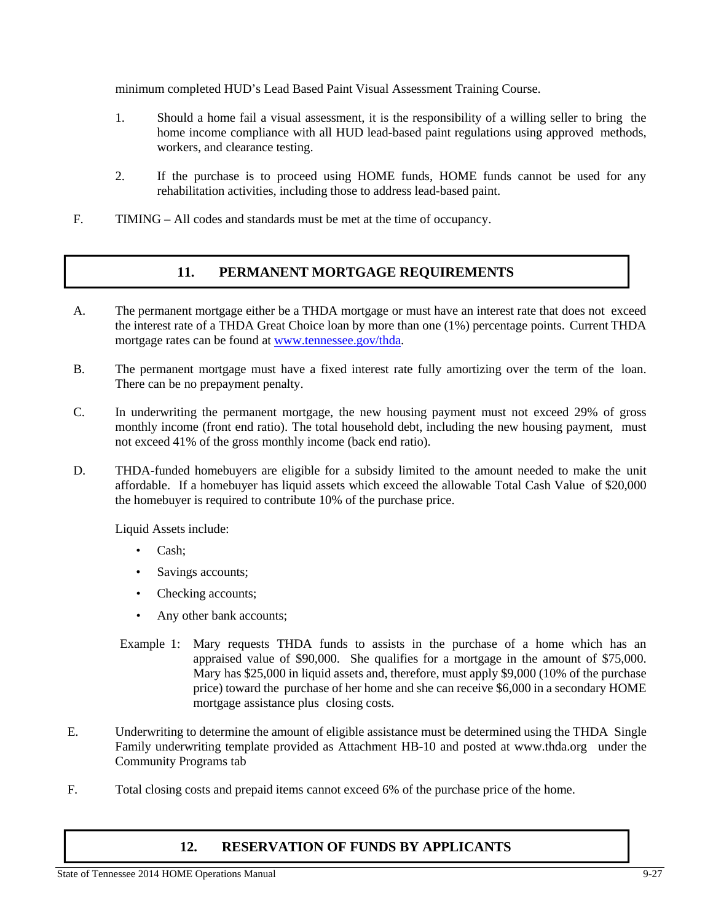minimum completed HUD's Lead Based Paint Visual Assessment Training Course.

- 1. Should a home fail a visual assessment, it is the responsibility of a willing seller to bring the home income compliance with all HUD lead-based paint regulations using approved methods, workers, and clearance testing.
- 2. If the purchase is to proceed using HOME funds, HOME funds cannot be used for any rehabilitation activities, including those to address lead-based paint.
- F. TIMING All codes and standards must be met at the time of occupancy.

#### **11. PERMANENT MORTGAGE REQUIREMENTS**

- A. The permanent mortgage either be a THDA mortgage or must have an interest rate that does not exceed the interest rate of a THDA Great Choice loan by more than one (1%) percentage points. Current THDA mortgage rates can be found at www.tennessee.gov/thda.
- B. The permanent mortgage must have a fixed interest rate fully amortizing over the term of the loan. There can be no prepayment penalty.
- C. In underwriting the permanent mortgage, the new housing payment must not exceed 29% of gross monthly income (front end ratio). The total household debt, including the new housing payment, must not exceed 41% of the gross monthly income (back end ratio).
- D. THDA-funded homebuyers are eligible for a subsidy limited to the amount needed to make the unit affordable. If a homebuyer has liquid assets which exceed the allowable Total Cash Value of \$20,000 the homebuyer is required to contribute 10% of the purchase price.

Liquid Assets include:

- Cash:
- Savings accounts;
- Checking accounts;
- Any other bank accounts;
- Example 1: Mary requests THDA funds to assists in the purchase of a home which has an appraised value of \$90,000. She qualifies for a mortgage in the amount of \$75,000. Mary has \$25,000 in liquid assets and, therefore, must apply \$9,000 (10% of the purchase price) toward the purchase of her home and she can receive \$6,000 in a secondary HOME mortgage assistance plus closing costs.
- E. Underwriting to determine the amount of eligible assistance must be determined using the THDA Single Family underwriting template provided as Attachment HB-10 and posted at www.thda.org under the Community Programs tab
- F. Total closing costs and prepaid items cannot exceed 6% of the purchase price of the home.

#### **12. RESERVATION OF FUNDS BY APPLICANTS**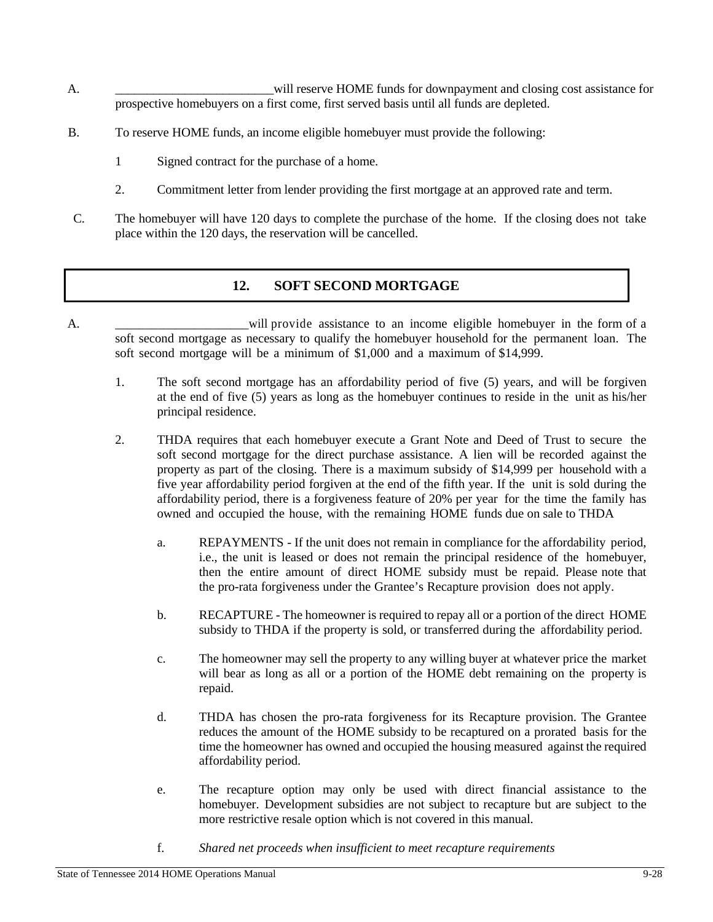- A. \_\_\_\_\_\_\_\_\_\_\_\_\_\_\_\_\_\_\_\_\_\_\_\_\_will reserve HOME funds for downpayment and closing cost assistance for prospective homebuyers on a first come, first served basis until all funds are depleted.
- B. To reserve HOME funds, an income eligible homebuyer must provide the following:
	- 1 Signed contract for the purchase of a home.
	- 2. Commitment letter from lender providing the first mortgage at an approved rate and term.
- C. The homebuyer will have 120 days to complete the purchase of the home. If the closing does not take place within the 120 days, the reservation will be cancelled.

#### **12. SOFT SECOND MORTGAGE**

- A. \_\_\_\_\_\_\_\_\_\_\_\_\_\_\_\_\_\_\_\_\_\_will provide assistance to an income eligible homebuyer in the form of a soft second mortgage as necessary to qualify the homebuyer household for the permanent loan. The soft second mortgage will be a minimum of \$1,000 and a maximum of \$14,999.
	- 1. The soft second mortgage has an affordability period of five (5) years, and will be forgiven at the end of five (5) years as long as the homebuyer continues to reside in the unit as his/her principal residence.
	- 2. THDA requires that each homebuyer execute a Grant Note and Deed of Trust to secure the soft second mortgage for the direct purchase assistance. A lien will be recorded against the property as part of the closing. There is a maximum subsidy of \$14,999 per household with a five year affordability period forgiven at the end of the fifth year. If the unit is sold during the affordability period, there is a forgiveness feature of 20% per year for the time the family has owned and occupied the house, with the remaining HOME funds due on sale to THDA
		- a. REPAYMENTS If the unit does not remain in compliance for the affordability period, i.e., the unit is leased or does not remain the principal residence of the homebuyer, then the entire amount of direct HOME subsidy must be repaid. Please note that the pro-rata forgiveness under the Grantee's Recapture provision does not apply.
		- b. RECAPTURE The homeowner is required to repay all or a portion of the direct HOME subsidy to THDA if the property is sold, or transferred during the affordability period.
		- c. The homeowner may sell the property to any willing buyer at whatever price the market will bear as long as all or a portion of the HOME debt remaining on the property is repaid.
		- d. THDA has chosen the pro-rata forgiveness for its Recapture provision. The Grantee reduces the amount of the HOME subsidy to be recaptured on a prorated basis for the time the homeowner has owned and occupied the housing measured against the required affordability period.
		- e. The recapture option may only be used with direct financial assistance to the homebuyer. Development subsidies are not subject to recapture but are subject to the more restrictive resale option which is not covered in this manual.
		- f. *Shared net proceeds when insufficient to meet recapture requirements*